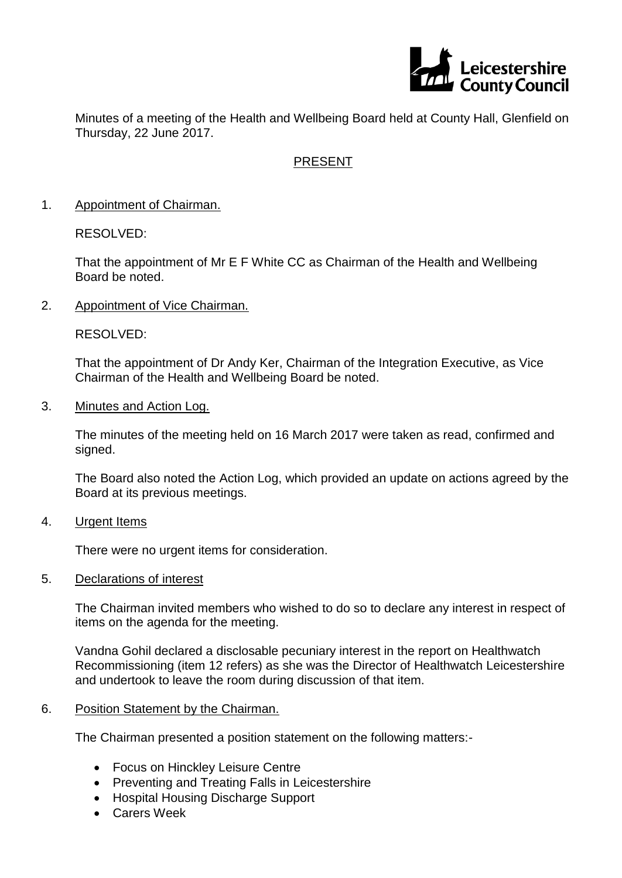

Minutes of a meeting of the Health and Wellbeing Board held at County Hall, Glenfield on Thursday, 22 June 2017.

# PRESENT

1. Appointment of Chairman.

RESOLVED:

That the appointment of Mr E F White CC as Chairman of the Health and Wellbeing Board be noted.

2. Appointment of Vice Chairman.

RESOLVED:

That the appointment of Dr Andy Ker, Chairman of the Integration Executive, as Vice Chairman of the Health and Wellbeing Board be noted.

3. Minutes and Action Log.

The minutes of the meeting held on 16 March 2017 were taken as read, confirmed and signed.

The Board also noted the Action Log, which provided an update on actions agreed by the Board at its previous meetings.

4. Urgent Items

There were no urgent items for consideration.

5. Declarations of interest

The Chairman invited members who wished to do so to declare any interest in respect of items on the agenda for the meeting.

Vandna Gohil declared a disclosable pecuniary interest in the report on Healthwatch Recommissioning (item 12 refers) as she was the Director of Healthwatch Leicestershire and undertook to leave the room during discussion of that item.

## 6. Position Statement by the Chairman.

The Chairman presented a position statement on the following matters:-

- Focus on Hinckley Leisure Centre
- Preventing and Treating Falls in Leicestershire
- Hospital Housing Discharge Support
- Carers Week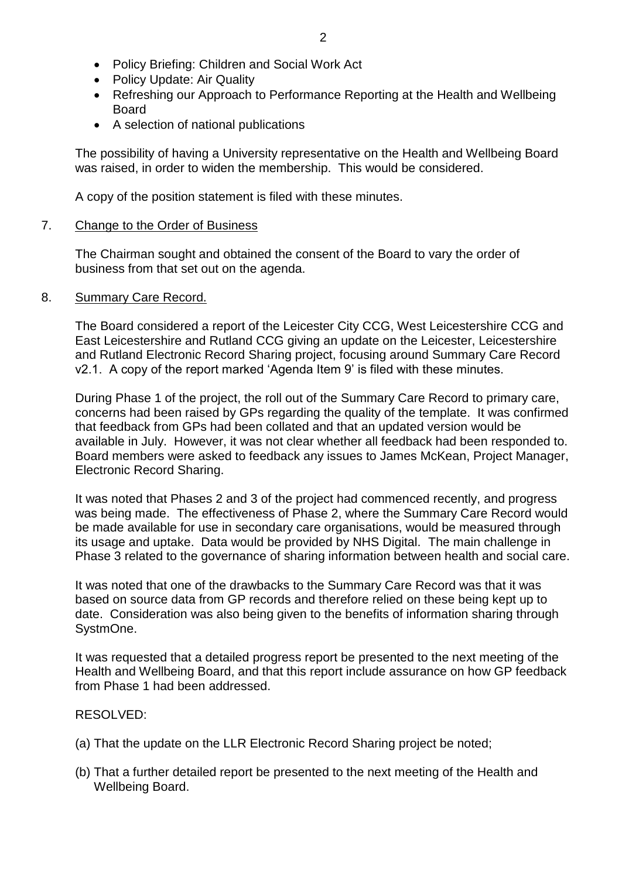- Policy Briefing: Children and Social Work Act
- Policy Update: Air Quality
- Refreshing our Approach to Performance Reporting at the Health and Wellbeing Board
- A selection of national publications

The possibility of having a University representative on the Health and Wellbeing Board was raised, in order to widen the membership. This would be considered.

A copy of the position statement is filed with these minutes.

## 7. Change to the Order of Business

The Chairman sought and obtained the consent of the Board to vary the order of business from that set out on the agenda.

## 8. Summary Care Record.

The Board considered a report of the Leicester City CCG, West Leicestershire CCG and East Leicestershire and Rutland CCG giving an update on the Leicester, Leicestershire and Rutland Electronic Record Sharing project, focusing around Summary Care Record v2.1. A copy of the report marked 'Agenda Item 9' is filed with these minutes.

During Phase 1 of the project, the roll out of the Summary Care Record to primary care, concerns had been raised by GPs regarding the quality of the template. It was confirmed that feedback from GPs had been collated and that an updated version would be available in July. However, it was not clear whether all feedback had been responded to. Board members were asked to feedback any issues to James McKean, Project Manager, Electronic Record Sharing.

It was noted that Phases 2 and 3 of the project had commenced recently, and progress was being made. The effectiveness of Phase 2, where the Summary Care Record would be made available for use in secondary care organisations, would be measured through its usage and uptake. Data would be provided by NHS Digital. The main challenge in Phase 3 related to the governance of sharing information between health and social care.

It was noted that one of the drawbacks to the Summary Care Record was that it was based on source data from GP records and therefore relied on these being kept up to date. Consideration was also being given to the benefits of information sharing through SystmOne.

It was requested that a detailed progress report be presented to the next meeting of the Health and Wellbeing Board, and that this report include assurance on how GP feedback from Phase 1 had been addressed.

## RESOLVED:

- (a) That the update on the LLR Electronic Record Sharing project be noted;
- (b) That a further detailed report be presented to the next meeting of the Health and Wellbeing Board.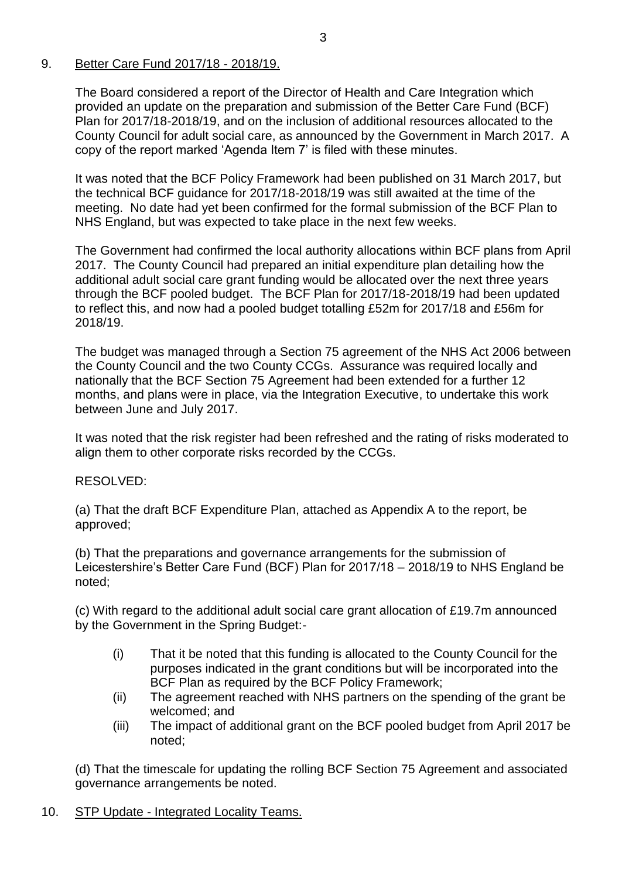## 9. Better Care Fund 2017/18 - 2018/19.

The Board considered a report of the Director of Health and Care Integration which provided an update on the preparation and submission of the Better Care Fund (BCF) Plan for 2017/18-2018/19, and on the inclusion of additional resources allocated to the County Council for adult social care, as announced by the Government in March 2017. A copy of the report marked 'Agenda Item 7' is filed with these minutes.

It was noted that the BCF Policy Framework had been published on 31 March 2017, but the technical BCF guidance for 2017/18-2018/19 was still awaited at the time of the meeting. No date had yet been confirmed for the formal submission of the BCF Plan to NHS England, but was expected to take place in the next few weeks.

The Government had confirmed the local authority allocations within BCF plans from April 2017. The County Council had prepared an initial expenditure plan detailing how the additional adult social care grant funding would be allocated over the next three years through the BCF pooled budget. The BCF Plan for 2017/18-2018/19 had been updated to reflect this, and now had a pooled budget totalling £52m for 2017/18 and £56m for 2018/19.

The budget was managed through a Section 75 agreement of the NHS Act 2006 between the County Council and the two County CCGs. Assurance was required locally and nationally that the BCF Section 75 Agreement had been extended for a further 12 months, and plans were in place, via the Integration Executive, to undertake this work between June and July 2017.

It was noted that the risk register had been refreshed and the rating of risks moderated to align them to other corporate risks recorded by the CCGs.

## RESOLVED:

(a) That the draft BCF Expenditure Plan, attached as Appendix A to the report, be approved;

(b) That the preparations and governance arrangements for the submission of Leicestershire's Better Care Fund (BCF) Plan for 2017/18 – 2018/19 to NHS England be noted;

(c) With regard to the additional adult social care grant allocation of £19.7m announced by the Government in the Spring Budget:-

- (i) That it be noted that this funding is allocated to the County Council for the purposes indicated in the grant conditions but will be incorporated into the BCF Plan as required by the BCF Policy Framework;
- (ii) The agreement reached with NHS partners on the spending of the grant be welcomed; and
- (iii) The impact of additional grant on the BCF pooled budget from April 2017 be noted;

(d) That the timescale for updating the rolling BCF Section 75 Agreement and associated governance arrangements be noted.

# 10. STP Update - Integrated Locality Teams.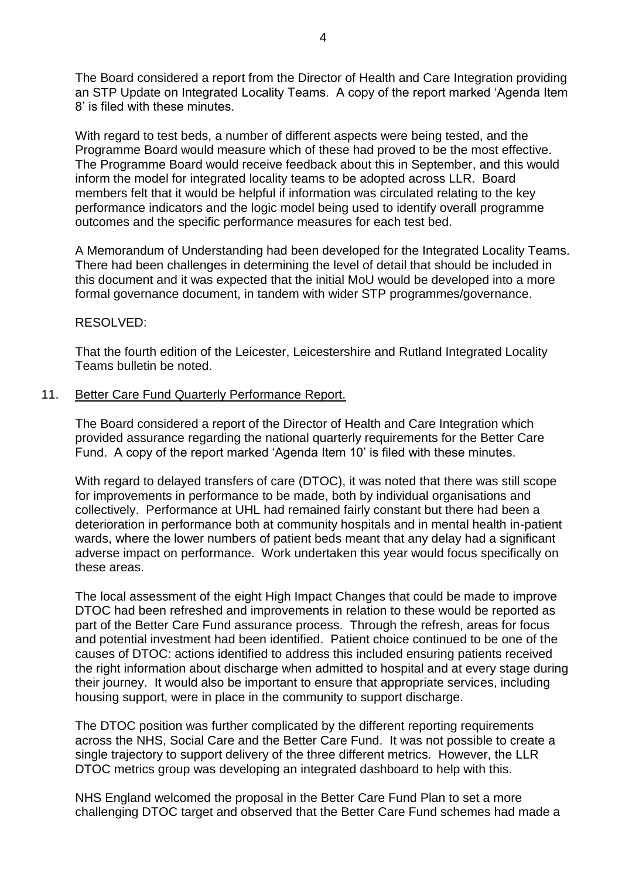The Board considered a report from the Director of Health and Care Integration providing an STP Update on Integrated Locality Teams. A copy of the report marked 'Agenda Item 8' is filed with these minutes.

With regard to test beds, a number of different aspects were being tested, and the Programme Board would measure which of these had proved to be the most effective. The Programme Board would receive feedback about this in September, and this would inform the model for integrated locality teams to be adopted across LLR. Board members felt that it would be helpful if information was circulated relating to the key performance indicators and the logic model being used to identify overall programme outcomes and the specific performance measures for each test bed.

A Memorandum of Understanding had been developed for the Integrated Locality Teams. There had been challenges in determining the level of detail that should be included in this document and it was expected that the initial MoU would be developed into a more formal governance document, in tandem with wider STP programmes/governance.

#### RESOLVED:

That the fourth edition of the Leicester, Leicestershire and Rutland Integrated Locality Teams bulletin be noted.

#### 11. Better Care Fund Quarterly Performance Report.

The Board considered a report of the Director of Health and Care Integration which provided assurance regarding the national quarterly requirements for the Better Care Fund. A copy of the report marked 'Agenda Item 10' is filed with these minutes.

With regard to delayed transfers of care (DTOC), it was noted that there was still scope for improvements in performance to be made, both by individual organisations and collectively. Performance at UHL had remained fairly constant but there had been a deterioration in performance both at community hospitals and in mental health in-patient wards, where the lower numbers of patient beds meant that any delay had a significant adverse impact on performance. Work undertaken this year would focus specifically on these areas.

The local assessment of the eight High Impact Changes that could be made to improve DTOC had been refreshed and improvements in relation to these would be reported as part of the Better Care Fund assurance process. Through the refresh, areas for focus and potential investment had been identified. Patient choice continued to be one of the causes of DTOC: actions identified to address this included ensuring patients received the right information about discharge when admitted to hospital and at every stage during their journey. It would also be important to ensure that appropriate services, including housing support, were in place in the community to support discharge.

The DTOC position was further complicated by the different reporting requirements across the NHS, Social Care and the Better Care Fund. It was not possible to create a single trajectory to support delivery of the three different metrics. However, the LLR DTOC metrics group was developing an integrated dashboard to help with this.

NHS England welcomed the proposal in the Better Care Fund Plan to set a more challenging DTOC target and observed that the Better Care Fund schemes had made a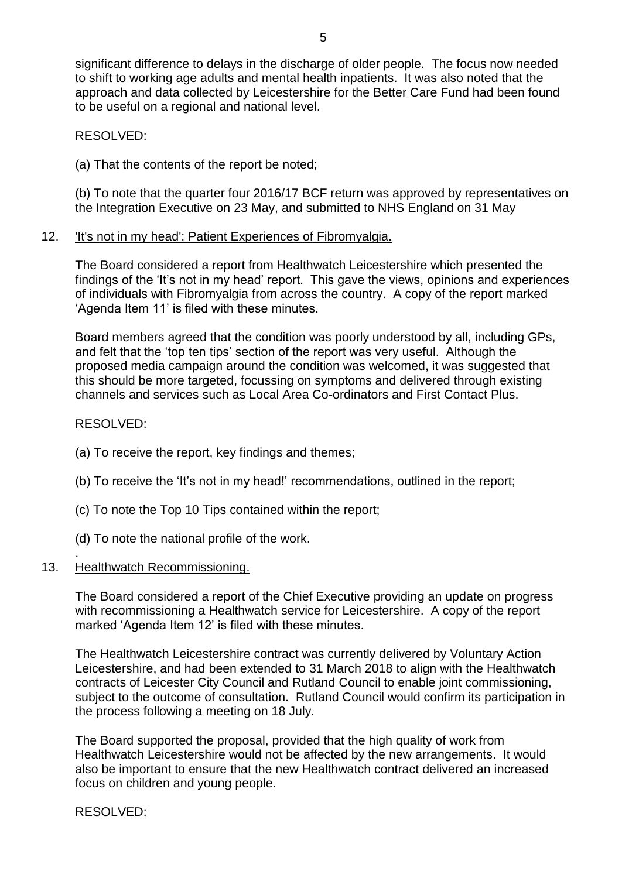significant difference to delays in the discharge of older people. The focus now needed to shift to working age adults and mental health inpatients. It was also noted that the approach and data collected by Leicestershire for the Better Care Fund had been found to be useful on a regional and national level.

RESOLVED:

(a) That the contents of the report be noted;

(b) To note that the quarter four 2016/17 BCF return was approved by representatives on the Integration Executive on 23 May, and submitted to NHS England on 31 May

## 12. 'It's not in my head': Patient Experiences of Fibromyalgia.

The Board considered a report from Healthwatch Leicestershire which presented the findings of the 'It's not in my head' report. This gave the views, opinions and experiences of individuals with Fibromyalgia from across the country. A copy of the report marked 'Agenda Item 11' is filed with these minutes.

Board members agreed that the condition was poorly understood by all, including GPs, and felt that the 'top ten tips' section of the report was very useful. Although the proposed media campaign around the condition was welcomed, it was suggested that this should be more targeted, focussing on symptoms and delivered through existing channels and services such as Local Area Co-ordinators and First Contact Plus.

## RESOLVED:

.

- (a) To receive the report, key findings and themes;
- (b) To receive the 'It's not in my head!' recommendations, outlined in the report;
- (c) To note the Top 10 Tips contained within the report;
- (d) To note the national profile of the work.

## 13. Healthwatch Recommissioning.

The Board considered a report of the Chief Executive providing an update on progress with recommissioning a Healthwatch service for Leicestershire. A copy of the report marked 'Agenda Item 12' is filed with these minutes.

The Healthwatch Leicestershire contract was currently delivered by Voluntary Action Leicestershire, and had been extended to 31 March 2018 to align with the Healthwatch contracts of Leicester City Council and Rutland Council to enable joint commissioning, subject to the outcome of consultation. Rutland Council would confirm its participation in the process following a meeting on 18 July.

The Board supported the proposal, provided that the high quality of work from Healthwatch Leicestershire would not be affected by the new arrangements. It would also be important to ensure that the new Healthwatch contract delivered an increased focus on children and young people.

RESOLVED: